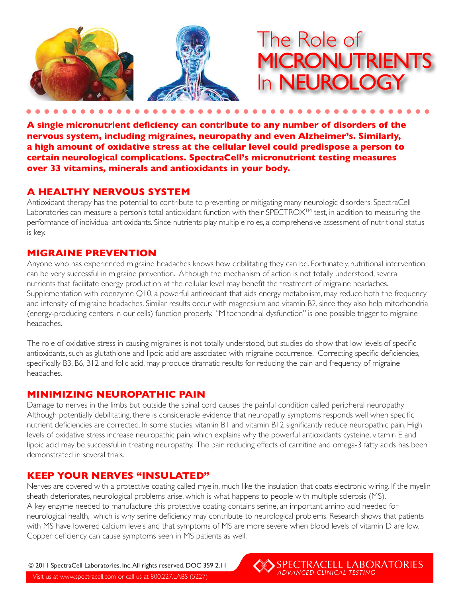



**A single micronutrient deficiency can contribute to any number of disorders of the nervous system, including migraines, neuropathy and even Alzheimer's. Similarly, a high amount of oxidative stress at the cellular level could predispose a person to certain neurological complications. SpectraCell's micronutrient testing measures over 33 vitamins, minerals and antioxidants in your body.** 

# **A HEALTHY NERVOUS SYSTEM**

Antioxidant therapy has the potential to contribute to preventing or mitigating many neurologic disorders. SpectraCell Laboratories can measure a person's total antioxidant function with their SPECTROX™ test, in addition to measuring the performance of individual antioxidants. Since nutrients play multiple roles, a comprehensive assessment of nutritional status is key.

## **MIGRAINE PREVENTION**

Anyone who has experienced migraine headaches knows how debilitating they can be. Fortunately, nutritional intervention can be very successful in migraine prevention. Although the mechanism of action is not totally understood, several nutrients that facilitate energy production at the cellular level may benefit the treatment of migraine headaches. Supplementation with coenzyme Q10, a powerful antioxidant that aids energy metabolism, may reduce both the frequency and intensity of migraine headaches. Similar results occur with magnesium and vitamin B2, since they also help mitochondria (energy-producing centers in our cells) function properly. "Mitochondrial dysfunction" is one possible trigger to migraine headaches.

The role of oxidative stress in causing migraines is not totally understood, but studies do show that low levels of specific antioxidants, such as glutathione and lipoic acid are associated with migraine occurrence. Correcting specific deficiencies, specifically B3, B6, B12 and folic acid, may produce dramatic results for reducing the pain and frequency of migraine headaches.

## **MINIMIZING NEUROPATHIC PAIN**

Damage to nerves in the limbs but outside the spinal cord causes the painful condition called peripheral neuropathy. Although potentially debilitating, there is considerable evidence that neuropathy symptoms responds well when specific nutrient deficiencies are corrected. In some studies, vitamin B1 and vitamin B12 significantly reduce neuropathic pain. High levels of oxidative stress increase neuropathic pain, which explains why the powerful antioxidants cysteine, vitamin E and lipoic acid may be successful in treating neuropathy. The pain reducing effects of carnitine and omega-3 fatty acids has been demonstrated in several trials.

## **KEEP YOUR NERVES "INSULATED"**

Nerves are covered with a protective coating called myelin, much like the insulation that coats electronic wiring. If the myelin sheath deteriorates, neurological problems arise, which is what happens to people with multiple sclerosis (MS). A key enzyme needed to manufacture this protective coating contains serine, an important amino acid needed for neurological health, which is why serine deficiency may contribute to neurological problems. Research shows that patients with MS have lowered calcium levels and that symptoms of MS are more severe when blood levels of vitamin D are low. Copper deficiency can cause symptoms seen in MS patients as well.

Visit us at www.spectracell.com or call us at 800.227.LABS (5227) © 2011 SpectraCell Laboratories, Inc. All rights reserved. DOC 359 2.11